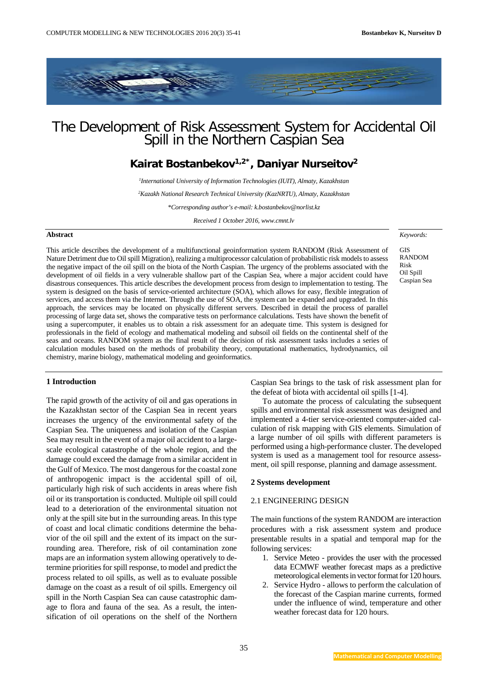*Keywords:*

GIS RANDOM Risk Oil Spill Caspian Sea



# The Development of Risk Assessment System for Accidental Oil Spill in the Northern Caspian Sea

## **Kairat Bostanbekov1,2\*, Daniyar Nurseitov2**

*1 International University of Information Technologies (IUIT), Almaty, Kazakhstan 2 Kazakh National Research Technical University (KazNRTU), Almaty, Kazakhstan \*Corresponding author's e-mail: k.bostanbekov@norlist.kz Received 1 October 2016, www.cmnt.lv*

#### **Abstract**

This article describes the development of a multifunctional geoinformation system RANDOM (Risk Assessment of Nature Detriment due to Oil spill Migration), realizing a multiprocessor calculation of probabilistic risk models to assess the negative impact of the oil spill on the biota of the North Caspian. The urgency of the problems associated with the development of oil fields in a very vulnerable shallow part of the Caspian Sea, where a major accident could have disastrous consequences. This article describes the development process from design to implementation to testing. The system is designed on the basis of service-oriented architecture (SOA), which allows for easy, flexible integration of services, and access them via the Internet. Through the use of SOA, the system can be expanded and upgraded. In this approach, the services may be located on physically different servers. Described in detail the process of parallel processing of large data set, shows the comparative tests on performance calculations. Tests have shown the benefit of using a supercomputer, it enables us to obtain a risk assessment for an adequate time. This system is designed for professionals in the field of ecology and mathematical modeling and subsoil oil fields on the continental shelf of the seas and oceans. RANDOM system as the final result of the decision of risk assessment tasks includes a series of calculation modules based on the methods of probability theory, computational mathematics, hydrodynamics, oil chemistry, marine biology, mathematical modeling and geoinformatics.

#### **1 Introduction**

The rapid growth of the activity of oil and gas operations in the Kazakhstan sector of the Caspian Sea in recent years increases the urgency of the environmental safety of the Caspian Sea. The uniqueness and isolation of the Caspian Sea may result in the event of a major oil accident to a largescale ecological catastrophe of the whole region, and the damage could exceed the damage from a similar accident in the Gulf of Mexico. The most dangerous for the coastal zone of anthropogenic impact is the accidental spill of oil, particularly high risk of such accidents in areas where fish oil or its transportation is conducted. Multiple oil spill could lead to a deterioration of the environmental situation not only at the spill site but in the surrounding areas. In this type of coast and local climatic conditions determine the behavior of the oil spill and the extent of its impact on the surrounding area. Therefore, risk of oil contamination zone maps are an information system allowing operatively to determine priorities for spill response, to model and predict the process related to oil spills, as well as to evaluate possible damage on the coast as a result of oil spills. Emergency oil spill in the North Caspian Sea can cause catastrophic damage to flora and fauna of the sea. As a result, the intensification of oil operations on the shelf of the Northern

Caspian Sea brings to the task of risk assessment plan for the defeat of biota with accidental oil spills [1-4].

To automate the process of calculating the subsequent spills and environmental risk assessment was designed and implemented a 4-tier service-oriented computer-aided calculation of risk mapping with GIS elements. Simulation of a large number of oil spills with different parameters is performed using a high-performance cluster. The developed system is used as a management tool for resource assessment, oil spill response, planning and damage assessment.

#### **2 Systems development**

#### 2.1 ENGINEERING DESIGN

The main functions of the system RANDOM are interaction procedures with a risk assessment system and produce presentable results in a spatial and temporal map for the following services:

- 1. Service Meteo provides the user with the processed data ECMWF weather forecast maps as a predictive meteorological elements in vector format for 120 hours.
- 2. Service Hydro allows to perform the calculation of the forecast of the Caspian marine currents, formed under the influence of wind, temperature and other weather forecast data for 120 hours.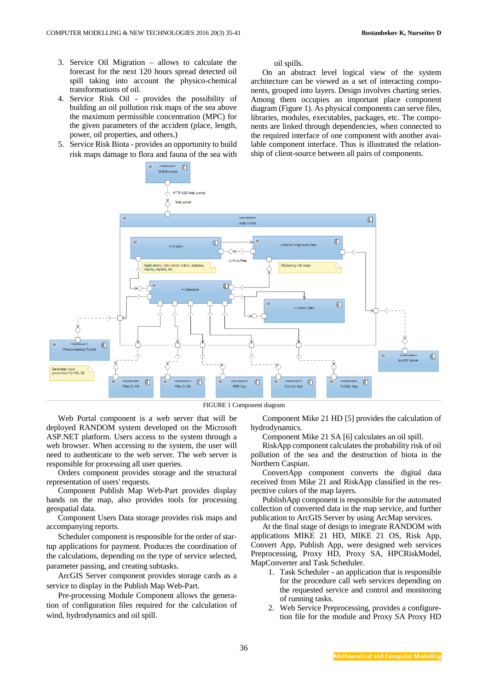- 3. Service Oil Migration allows to calculate the forecast for the next 120 hours spread detected oil spill taking into account the physico-chemical transformations of oil.
- 4. Service Risk Oil provides the possibility of building an oil pollution risk maps of the sea above the maximum permissible concentration (MPC) for the given parameters of the accident (place, length, power, oil properties, and others.)
- 5. Service Risk Biota provides an opportunity to build risk maps damage to flora and fauna of the sea with

#### oil spills.

On an abstract level logical view of the system architecture can be viewed as a set of interacting components, grouped into layers. Design involves charting series. Among them occupies an important place component diagram (Figure 1). As physical components can serve files, libraries, modules, executables, packages, etc. The components are linked through dependencies, when connected to the required interface of one component with another available component interface. Thus is illustrated the relationship of client-source between all pairs of components.



FIGURE 1 Component diagram

Web Portal component is a web server that will be deployed RANDOM system developed on the Microsoft ASP.NET platform. Users access to the system through a web browser. When accessing to the system, the user will need to authenticate to the web server. The web server is responsible for processing all user queries.

Orders component provides storage and the structural representation of users' requests.

Component Publish Map Web-Part provides display bands on the map, also provides tools for processing geospatial data.

Component Users Data storage provides risk maps and accompanying reports.

Scheduler component is responsible for the order of startup applications for payment. Produces the coordination of the calculations, depending on the type of service selected, parameter passing, and creating subtasks.

ArcGIS Server component provides storage cards as a service to display in the Publish Map Web-Part.

Pre-processing Module Component allows the generation of configuration files required for the calculation of wind, hydrodynamics and oil spill.

Component Mike 21 HD [5] provides the calculation of hydrodynamics.

Component Mike 21 SA [6] calculates an oil spill.

RiskApp component calculates the probability risk of oil pollution of the sea and the destruction of biota in the Northern Caspian.

ConvertApp component converts the digital data received from Mike 21 and RiskApp classified in the respecttive colors of the map layers.

PublishApp component is responsible for the automated collection of converted data in the map service, and further publication to ArcGIS Server by using ArcMap services.

At the final stage of design to integrate RANDOM with applications MIKE 21 HD, MIKE 21 OS, Risk App, Convert App, Publish App, were designed web services Preprocessing, Proxy HD, Proxy SA, HPCRiskModel, MapConverter and Task Scheduler.

- 1. Task Scheduler an application that is responsible for the procedure call web services depending on the requested service and control and monitoring of running tasks.
- 2. Web Service Preprocessing, provides a configuretion file for the module and Proxy SA Proxy HD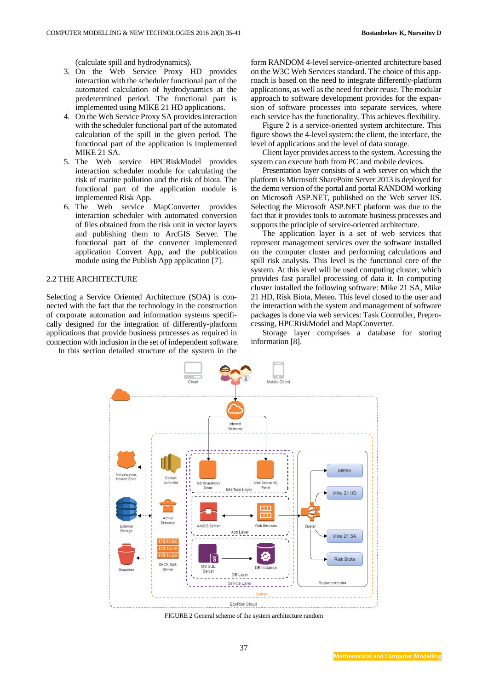(calculate spill and hydrodynamics).

- 3. On the Web Service Proxy HD provides interaction with the scheduler functional part of the automated calculation of hydrodynamics at the predetermined period. The functional part is implemented using MIKE 21 HD applications.
- 4. On the Web Service Proxy SA provides interaction with the scheduler functional part of the automated calculation of the spill in the given period. The functional part of the application is implemented MIKE 21 SA.
- 5. The Web service HPCRiskModel provides interaction scheduler module for calculating the risk of marine pollution and the risk of biota. The functional part of the application module is implemented Risk App.
- 6. The Web service MapConverter provides interaction scheduler with automated conversion of files obtained from the risk unit in vector layers and publishing them to ArcGIS Server. The functional part of the converter implemented application Convert App, and the publication module using the Publish App application [7].

#### 2.2 THE ARCHITECTURE

Selecting a Service Oriented Architecture (SOA) is connected with the fact that the technology in the construction of corporate automation and information systems specifically designed for the integration of differently-platform applications that provide business processes as required in connection with inclusion in the set of independent software.

In this section detailed structure of the system in the

form RANDOM 4-level service-oriented architecture based on the W3C Web Services standard. The choice of this approach is based on the need to integrate differently-platform applications, as well as the need for their reuse. The modular approach to software development provides for the expansion of software processes into separate services, where each service has the functionality. This achieves flexibility.

Figure 2 is a service-oriented system architecture. This figure shows the 4-level system: the client, the interface, the level of applications and the level of data storage.

Client layer provides access to the system. Accessing the system can execute both from PC and mobile devices.

Presentation layer consists of a web server on which the platform is Microsoft SharePoint Server 2013 is deployed for the demo version of the portal and portal RANDOM working on Microsoft ASP.NET, published on the Web server IIS. Selecting the Microsoft ASP.NET platform was due to the fact that it provides tools to automate business processes and supports the principle of service-oriented architecture.

The application layer is a set of web services that represent management services over the software installed on the computer cluster and performing calculations and spill risk analysis. This level is the functional core of the system. At this level will be used computing cluster, which provides fast parallel processing of data it. In computing cluster installed the following software: Mike 21 SA, Mike 21 HD, Risk Biota, Meteo. This level closed to the user and the interaction with the system and management of software packages is done via web services: Task Controller, Preprocessing, HPCRiskModel and MapConverter.

Storage layer comprises a database for storing information [8].



FIGURE 2 General scheme of the system architecture random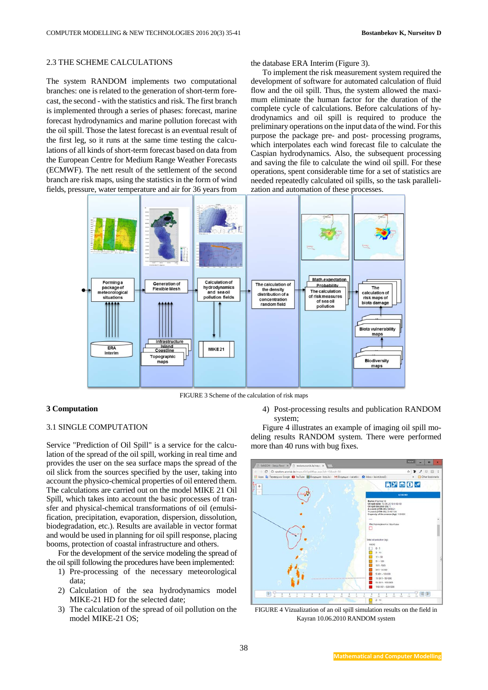### 2.3 THE SCHEME CALCULATIONS

The system RANDOM implements two computational branches: one is related to the generation of short-term forecast, the second - with the statistics and risk. The first branch is implemented through a series of phases: forecast, marine forecast hydrodynamics and marine pollution forecast with the oil spill. Those the latest forecast is an eventual result of the first leg, so it runs at the same time testing the calculations of all kinds of short-term forecast based on data from the European Centre for Medium Range Weather Forecasts (ECMWF). The nett result of the settlement of the second branch are risk maps, using the statistics in the form of wind fields, pressure, water temperature and air for 36 years from

the database ERA Interim (Figure 3).

To implement the risk measurement system required the development of software for automated calculation of fluid flow and the oil spill. Thus, the system allowed the maximum eliminate the human factor for the duration of the complete cycle of calculations. Before calculations of hydrodynamics and oil spill is required to produce the preliminary operations on the input data of the wind. For this purpose the package pre- and post- processing programs, which interpolates each wind forecast file to calculate the Caspian hydrodynamics. Also, the subsequent processing and saving the file to calculate the wind oil spill. For these operations, spent considerable time for a set of statistics are needed repeatedly calculated oil spills, so the task parallelization and automation of these processes.



FIGURE 3 Scheme of the calculation of risk maps

### **3 Computation**

#### 3.1 SINGLE COMPUTATION

Service "Prediction of Oil Spill" is a service for the calculation of the spread of the oil spill, working in real time and provides the user on the sea surface maps the spread of the oil slick from the sources specified by the user, taking into account the physico-chemical properties of oil entered them. The calculations are carried out on the model MIKE 21 Oil Spill, which takes into account the basic processes of transfer and physical-chemical transformations of oil (emulsification, precipitation, evaporation, dispersion, dissolution, biodegradation, etc.). Results are available in vector format and would be used in planning for oil spill response, placing booms, protection of coastal infrastructure and others.

For the development of the service modeling the spread of the oil spill following the procedures have been implemented:

- 1) Pre-processing of the necessary meteorological data;
- 2) Calculation of the sea hydrodynamics model MIKE-21 HD for the selected date;
- 3) The calculation of the spread of oil pollution on the model MIKE-21 OS;

4) Post-processing results and publication RANDOM system;

Figure 4 illustrates an example of imaging oil spill modeling results RANDOM system. There were performed more than 40 runs with bug fixes.



FIGURE 4 Vizualization of an oil spill simulation results on the field in Kayran 10.06.2010 RANDOM system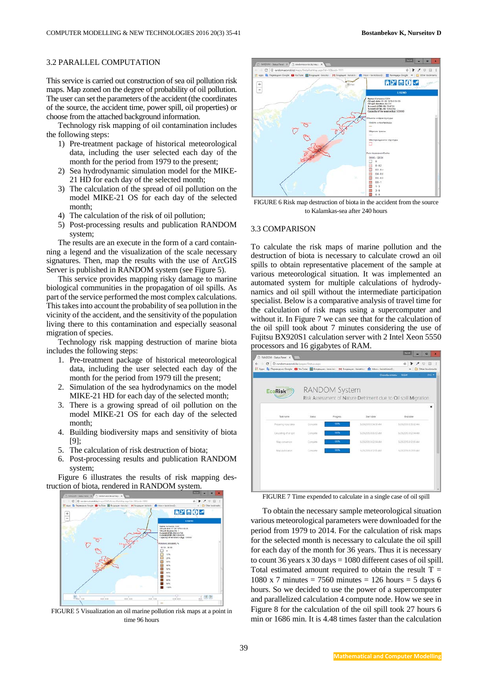#### 3.2 PARALLEL COMPUTATION

This service is carried out construction of sea oil pollution risk maps. Map zoned on the degree of probability of oil pollution. The user can set the parameters of the accident (the coordinates of the source, the accident time, power spill, oil properties) or choose from the attached background information.

Technology risk mapping of oil contamination includes the following steps:

- 1) Pre-treatment package of historical meteorological data, including the user selected each day of the month for the period from 1979 to the present;
- 2) Sea hydrodynamic simulation model for the MIKE-21 HD for each day of the selected month;
- 3) The calculation of the spread of oil pollution on the model MIKE-21 OS for each day of the selected month;
- 4) The calculation of the risk of oil pollution;
- 5) Post-processing results and publication RANDOM system;

The results are an execute in the form of a card containning a legend and the visualization of the scale necessary signatures. Then, map the results with the use of ArcGIS Server is published in RANDOM system (see Figure 5).

This service provides mapping risky damage to marine biological communities in the propagation of oil spills. As part of the service performed the most complex calculations. This takes into account the probability of sea pollution in the vicinity of the accident, and the sensitivity of the population living there to this contamination and especially seasonal migration of species.

Technology risk mapping destruction of marine biota includes the following steps:

- 1. Pre-treatment package of historical meteorological data, including the user selected each day of the month for the period from 1979 till the present;
- 2. Simulation of the sea hydrodynamics on the model MIKE-21 HD for each day of the selected month;
- 3. There is a growing spread of oil pollution on the model MIKE-21 OS for each day of the selected month;
- 4. Building biodiversity maps and sensitivity of biota [9];
- 5. The calculation of risk destruction of biota;
- 6. Post-processing results and publication RANDOM system;

Figure 6 illustrates the results of risk mapping destruction of biota, rendered in RANDOM system.



FIGURE 5 Visualization an oil marine pollution risk maps at a point in time 96 hours



FIGURE 6 Risk map destruction of biota in the accident from the source to Kalamkas-sea after 240 hours

### 3.3 COMPARISON

To calculate the risk maps of marine pollution and the destruction of biota is necessary to calculate crowd an oil spills to obtain representative placement of the sample at various meteorological situation. It was implemented an automated system for multiple calculations of hydrodynamics and oil spill without the intermediate participation specialist. Below is a comparative analysis of travel time for the calculation of risk maps using a supercomputer and without it. In Figure 7 we can see that for the calculation of the oil spill took about 7 minutes considering the use of Fujitsu BX920S1 calculation server with 2 Intel Xeon 5550 processors and 16 gigabytes of RAM.

| <b>EcoRisk</b>          | <b>RANDOM System</b><br>Risk Assessment of Nature Detriment due to Oil spill Migration |          |                      |                      |  |
|-------------------------|----------------------------------------------------------------------------------------|----------|----------------------|----------------------|--|
|                         |                                                                                        |          |                      |                      |  |
|                         |                                                                                        |          |                      |                      |  |
| Tack name               | Oaks                                                                                   | Progress | Start date           | <b>End date</b>      |  |
| Preparing input data    | Considé                                                                                | 100%     | 5/29/2015 8:54:59 AM | T/29/2015 1555:02 AM |  |
| Circulating of oil spit | Company                                                                                | 107%     | 5/29/2015 8:55 03 AM | 5/29/2015 9/02/04 AM |  |
| Mas conversion          | Complete                                                                               | 10%      | 5/29/2015 0-02-04 AM | LOBODS DIJOS AM      |  |
| Mag publication         | Congele                                                                                | 100%     | AUSCRIPS SUPPLIERS   | SCHOOL WORKS         |  |
|                         |                                                                                        |          |                      |                      |  |
|                         |                                                                                        |          |                      |                      |  |

FIGURE 7 Time expended to calculate in a single case of oil spill

To obtain the necessary sample meteorological situation various meteorological parameters were downloaded for the period from 1979 to 2014. For the calculation of risk maps for the selected month is necessary to calculate the oil spill for each day of the month for 36 years. Thus it is necessary to count 36 years x 30 days = 1080 different cases of oil spill. Total estimated amount required to obtain the result  $T =$ 1080 x 7 minutes = 7560 minutes = 126 hours = 5 days 6 hours. So we decided to use the power of a supercomputer and parallelized calculation 4 compute node. How we see in Figure 8 for the calculation of the oil spill took 27 hours 6 min or 1686 min. It is 4.48 times faster than the calculation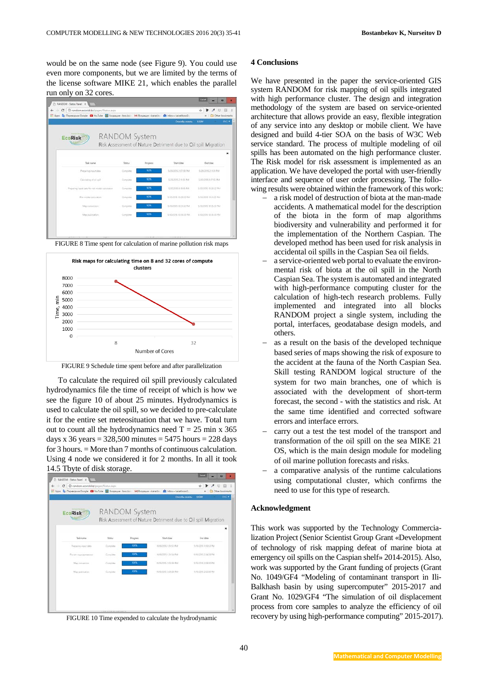would be on the same node (see Figure 9). You could use even more components, but we are limited by the terms of the license software MIKE 21, which enables the parallel run only on 32 cores.



FIGURE 8 Time spent for calculation of marine pollution risk maps



FIGURE 9 Schedule time spent before and after parallelization

To calculate the required oil spill previously calculated hydrodynamics file the time of receipt of which is how we see the figure 10 of about 25 minutes. Hydrodynamics is used to calculate the oil spill, so we decided to pre-calculate it for the entire set meteosituation that we have. Total turn out to count all the hydrodynamics need  $T = 25$  min x 365 days x 36 years =  $328,500$  minutes =  $5475$  hours =  $228$  days for 3 hours. = More than 7 months of continuous calculation. Using 4 node we considered it for 2 months. In all it took 14.5 Tbyte of disk storage.

| @ random.ecorisk.kg/pages/Status.aipx<br>$\alpha$ . |            |                      | Fill Apps De Reprenzive Google D YouTube B Brogaupe - bossks M Brogaupe - karatho C Inbox - karathoss0<br>Cnocollar onnanu | ☆<br>Other bookmarks<br><b>SJOAY</b><br>ENG *                  |
|-----------------------------------------------------|------------|----------------------|----------------------------------------------------------------------------------------------------------------------------|----------------------------------------------------------------|
| <b>EcoRisk</b>                                      |            | <b>RANDOM System</b> |                                                                                                                            | Risk Assessment of Nature Detriment due to Oil spill Migration |
| Task name                                           | Status     | Progress             | Start date                                                                                                                 | <b>End date</b>                                                |
| Preparing input data                                | Corrollate | <b>KOL</b>           | TUSICOS EDES PM                                                                                                            | 15/10/2012 1:30:13 PM                                          |
| Расчёт педиодичанны                                 | Complete   | YOU'LL               | TV19/2015 1.35-54 PM                                                                                                       | 1219-2015 2:04:59 797                                          |
| Map conversion                                      | Complete   | XX/K                 | 10/33/2015 2:04:93 PM                                                                                                      | TV9/2015 2:08:00 PM                                            |
| Map publication                                     | Correlate  | <b>YOTK</b>          | 10/9/2015 2:08:00 PM                                                                                                       | T/15/2015 2:12:00 PM                                           |
|                                                     |            |                      |                                                                                                                            |                                                                |
|                                                     |            |                      |                                                                                                                            |                                                                |
|                                                     |            |                      |                                                                                                                            |                                                                |

FIGURE 10 Time expended to calculate the hydrodynamic

#### **4 Conclusions**

We have presented in the paper the service-oriented GIS system RANDOM for risk mapping of oil spills integrated with high performance cluster. The design and integration methodology of the system are based on service-oriented architecture that allows provide an easy, flexible integration of any service into any desktop or mobile client. We have designed and build 4-tier SOA on the basis of W3C Web service standard. The process of multiple modeling of oil spills has been automated on the high performance cluster. The Risk model for risk assessment is implemented as an application. We have developed the portal with user-friendly interface and sequence of user order processing. The following results were obtained within the framework of this work:

- a risk model of destruction of biota at the man-made accidents. A mathematical model for the description of the biota in the form of map algorithms biodiversity and vulnerability and performed it for the implementation of the Northern Caspian. The developed method has been used for risk analysis in accidental oil spills in the Caspian Sea oil fields.
- a service-oriented web portal to evaluate the environmental risk of biota at the oil spill in the North Caspian Sea. The system is automated and integrated with high-performance computing cluster for the calculation of high-tech research problems. Fully implemented and integrated into all blocks RANDOM project a single system, including the portal, interfaces, geodatabase design models, and others.
- as a result on the basis of the developed technique based series of maps showing the risk of exposure to the accident at the fauna of the North Caspian Sea. Skill testing RANDOM logical structure of the system for two main branches, one of which is associated with the development of short-term forecast, the second - with the statistics and risk. At the same time identified and corrected software errors and interface errors.
- − carry out a test the test model of the transport and transformation of the oil spill on the sea MIKE 21 OS, which is the main design module for modeling of oil marine pollution forecasts and risks.
- a comparative analysis of the runtime calculations using computational cluster, which confirms the need to use for this type of research.

#### **Acknowledgment**

This work was supported by the Technology Commercialization Project (Senior Scientist Group Grant «Development of technology of risk mapping defeat of marine biota at emergency oil spills on the Caspian shelf» 2014-2015). Also, work was supported by the Grant funding of projects (Grant No. 1049/GF4 "Modeling of contaminant transport in Ili-Balkhash basin by using supercomputer" 2015-2017 and Grant No. 1029/GF4 "The simulation of oil displacement process from core samples to analyze the efficiency of oil recovery by using high-performance computing" 2015-2017).